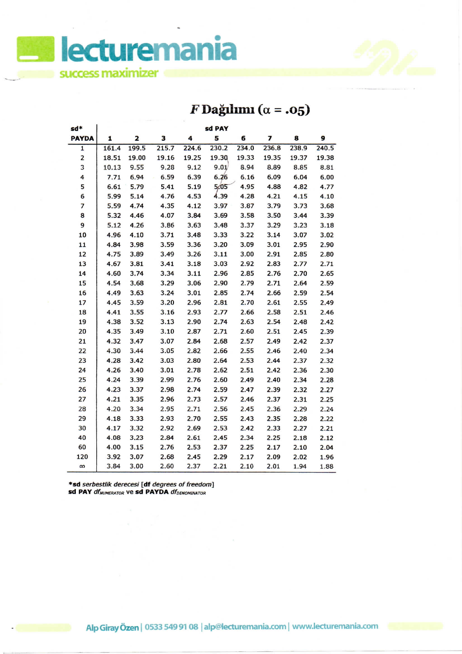**lecturemania success maximizer**

## $F$ Dağılımı ( $\alpha$  = .05)

| sd*          | sd PAY |       |       |       |       |       |       |       |       |  |  |
|--------------|--------|-------|-------|-------|-------|-------|-------|-------|-------|--|--|
| <b>PAYDA</b> | 1      | 2     | 3     | 4     | 5     | 6     | 7     | 8     | 9     |  |  |
| $\mathbf{1}$ | 161.4  | 199.5 | 215.7 | 224.6 | 230.2 | 234.0 | 236.8 | 238.9 | 240.5 |  |  |
| 2            | 18.51  | 19.00 | 19.16 | 19.25 | 19.30 | 19.33 | 19.35 | 19.37 | 19.38 |  |  |
| 3            | 10.13  | 9.55  | 9.28  | 9.12  | 9.01  | 8.94  | 8.89  | 8.85  | 8.81  |  |  |
| 4            | 7.71   | 6.94  | 6.59  | 6.39  | 6.26  | 6.16  | 6.09  | 6.04  | 6.00  |  |  |
| 5            | 6.61   | 5.79  | 5.41  | 5.19  | 5/05  | 4.95  | 4.88  | 4.82  | 4.77  |  |  |
| 6            | 5.99   | 5.14  | 4.76  | 4.53  | 4.39  | 4.28  | 4.21  | 4.15  | 4.10  |  |  |
| 7            | 5.59   | 4.74  | 4.35  | 4.12  | 3.97  | 3.87  | 3.79  | 3.73  | 3.68  |  |  |
| 8            | 5.32   | 4.46  | 4.07  | 3.84  | 3.69  | 3.58  | 3.50  | 3.44  | 3.39  |  |  |
| 9            | 5.12   | 4.26  | 3.86  | 3.63  | 3.48  | 3.37  | 3.29  | 3.23  | 3.18  |  |  |
| 10           | 4.96   | 4.10  | 3.71  | 3.48  | 3.33  | 3.22  | 3.14  | 3.07  | 3.02  |  |  |
| 11           | 4.84   | 3.98  | 3.59  | 3.36  | 3.20  | 3.09  | 3.01  | 2.95  | 2.90  |  |  |
| 12           | 4.75   | 3.89  | 3.49  | 3.26  | 3.11  | 3.00  | 2.91  | 2.85  | 2.80  |  |  |
| 13           | 4.67   | 3.81  | 3.41  | 3.18  | 3.03  | 2.92  | 2.83  | 2.77  | 2.71  |  |  |
| 14           | 4.60   | 3.74  | 3.34  | 3.11  | 2.96  | 2.85  | 2.76  | 2.70  | 2.65  |  |  |
| 15           | 4.54   | 3.68  | 3.29  | 3.06  | 2.90  | 2.79  | 2.71  | 2.64  | 2.59  |  |  |
| 16           | 4.49   | 3.63  | 3.24  | 3.01  | 2.85  | 2.74  | 2.66  | 2.59  | 2.54  |  |  |
| 17           | 4.45   | 3.59  | 3.20  | 2.96  | 2.81  | 2.70  | 2.61  | 2.55  | 2.49  |  |  |
| 18           | 4.41   | 3.55  | 3.16  | 2.93  | 2.77  | 2.66  | 2.58  | 2.51  | 2.46  |  |  |
| 19           | 4.38   | 3.52  | 3.13  | 2.90  | 2.74  | 2.63  | 2.54  | 2.48  | 2.42  |  |  |
| 20           | 4.35   | 3.49  | 3.10  | 2.87  | 2.71  | 2.60  | 2.51  | 2.45  | 2.39  |  |  |
| 21           | 4.32   | 3.47  | 3.07  | 2.84  | 2.68  | 2.57  | 2.49  | 2.42  | 2.37  |  |  |
| 22           | 4.30   | 3.44  | 3.05  | 2.82  | 2.66  | 2.55  | 2.46  | 2.40  | 2.34  |  |  |
| 23           | 4.28   | 3.42  | 3.03  | 2.80  | 2.64  | 2.53  | 2.44  | 2.37  | 2.32  |  |  |
| 24           | 4.26   | 3.40  | 3.01  | 2.78  | 2.62  | 2.51  | 2.42  | 2.36  | 2.30  |  |  |
| 25           | 4.24   | 3.39  | 2.99  | 2.76  | 2.60  | 2.49  | 2.40  | 2.34  | 2.28  |  |  |
| 26           | 4.23   | 3.37  | 2.98  | 2.74  | 2.59  | 2.47  | 2.39  | 2.32  | 2.27  |  |  |
| 27           | 4.21   | 3.35  | 2.96  | 2.73  | 2.57  | 2.46  | 2.37  | 2.31  | 2.25  |  |  |
| 28           | 4.20   | 3.34  | 2.95  | 2.71  | 2.56  | 2.45  | 2.36  | 2.29  | 2.24  |  |  |
| 29           | 4.18   | 3.33  | 2.93  | 2.70  | 2.55  | 2.43  | 2.35  | 2.28  | 2.22  |  |  |
| 30           | 4.17   | 3.32  | 2.92  | 2.69  | 2.53  | 2.42  | 2.33  | 2.27  | 2.21  |  |  |
| 40           | 4.08   | 3.23  | 2.84  | 2.61  | 2.45  | 2.34  | 2.25  | 2.18  | 2.12  |  |  |
| 60           | 4.00   | 3.15  | 2.76  | 2.53  | 2.37  | 2.25  | 2.17  | 2.10  | 2.04  |  |  |
| 120          | 3.92   | 3.07  | 2.68  | 2.45  | 2.29  | 2.17  | 2.09  | 2.02  | 1.96  |  |  |
| $\infty$     | 3.84   | 3.00  | 2.60  | 2.37  | 2.21  | 2.10  | 2.01  | 1.94  | 1.88  |  |  |

\*sd serbestlik derecesi [df degrees of freedom}

**sd PAY** df<sub>NUMERATOR Ve sd PAYDA df<sub>DENOMINATOR</sub></sub>